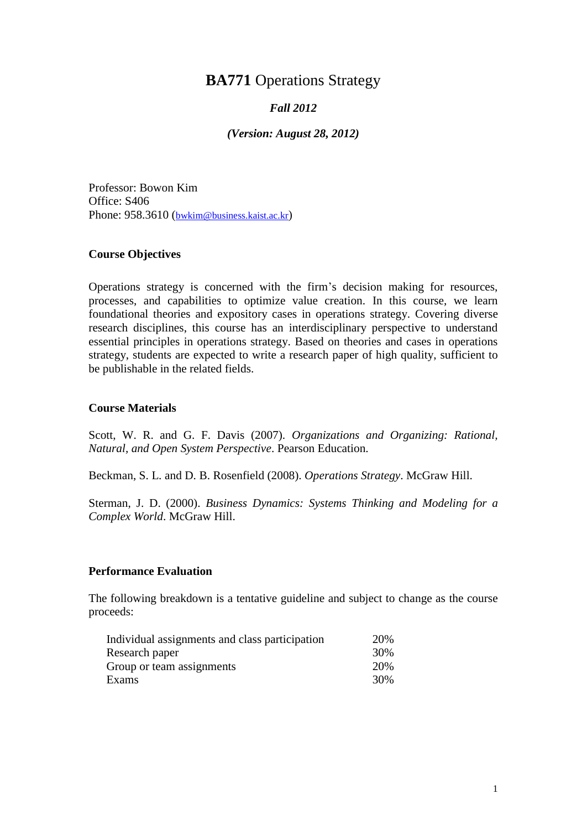# **BA771** Operations Strategy

## *Fall 2012*

*(Version: August 28, 2012)*

Professor: Bowon Kim Office: S406 Phone: 958.3610 ([bwkim@business.kaist.ac.kr](mailto:bwkim@business.kaist.ac.kr))

#### **Course Objectives**

Operations strategy is concerned with the firm's decision making for resources, processes, and capabilities to optimize value creation. In this course, we learn foundational theories and expository cases in operations strategy. Covering diverse research disciplines, this course has an interdisciplinary perspective to understand essential principles in operations strategy. Based on theories and cases in operations strategy, students are expected to write a research paper of high quality, sufficient to be publishable in the related fields.

#### **Course Materials**

Scott, W. R. and G. F. Davis (2007). *Organizations and Organizing: Rational, Natural, and Open System Perspective*. Pearson Education.

Beckman, S. L. and D. B. Rosenfield (2008). *Operations Strategy*. McGraw Hill.

Sterman, J. D. (2000). *Business Dynamics: Systems Thinking and Modeling for a Complex World*. McGraw Hill.

#### **Performance Evaluation**

The following breakdown is a tentative guideline and subject to change as the course proceeds:

| Individual assignments and class participation | 20% |
|------------------------------------------------|-----|
| Research paper                                 | 30% |
| Group or team assignments                      | 20% |
| Exams                                          | 30% |